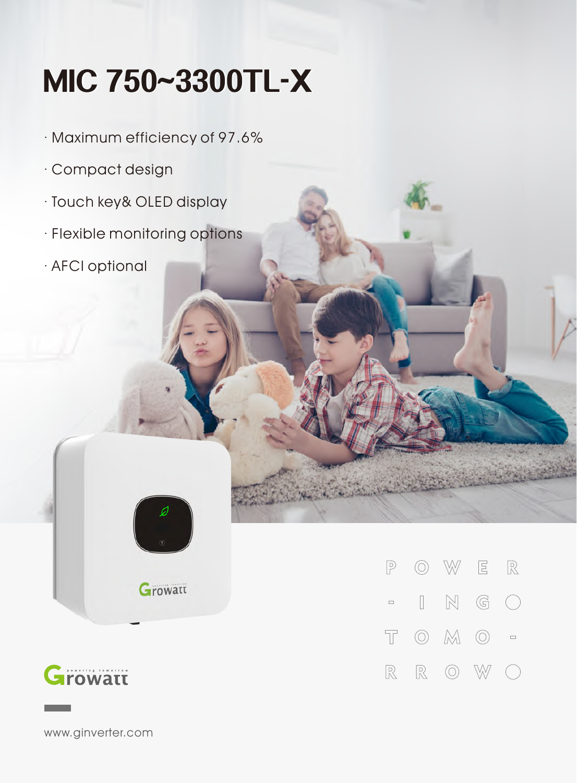## **MIC750~3300TL-X**

- · Maximum efficiency of 97.6%
- · Compact design
- · Touch key& OLED display
- · Flexible monitoring options
- · AFCI optional



**Growatt** 



www.ginverter.com